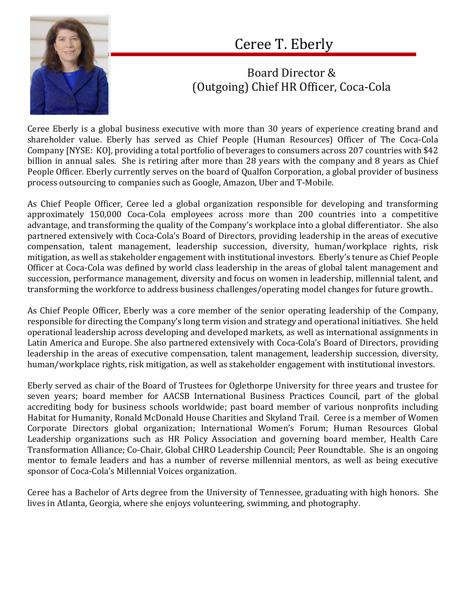# Ceree T. Eberly



## Board Director & (Outgoing) Chief HR Officer, Coca-Cola

Ceree Eberly is a global business executive with more than 30 years of experience creating brand and shareholder value. Eberly has served as Chief People (Human Resources) Officer of The Coca-Cola Company [NYSE: KO], providing a total portfolio of beverages to consumers across 207 countries with \$42 billion in annual sales. She is retiring after more than 28 years with the company and 8 years as Chief People Officer. Eberly currently serves on the board of Qualfon Corporation, a global provider of business process outsourcing to companies such as Google, Amazon, Uber and T-Mobile.

As Chief People Officer, Ceree led a global organization responsible for developing and transforming approximately 150,000 Coca-Cola employees across more than 200 countries into a competitive advantage, and transforming the quality of the Company's workplace into a global differentiator. She also partnered extensively with Coca-Cola's Board of Directors, providing leadership in the areas of executive compensation, talent management, leadership succession, diversity, human/workplace rights, risk mitigation, as well as stakeholder engagement with institutional investors. Eberly's tenure as Chief People Officer at Coca-Cola was defined by world class leadership in the areas of global talent management and succession, performance management, diversity and focus on women in leadership, millennial talent, and transforming the workforce to address business challenges/operating model changes for future growth..

As Chief People Officer, Eberly was a core member of the senior operating leadership of the Company, responsible for directing the Company's long term vision and strategy and operational initiatives. She held operational leadership across developing and developed markets, as well as international assignments in Latin America and Europe. She also partnered extensively with Coca-Cola's Board of Directors, providing leadership in the areas of executive compensation, talent management, leadership succession, diversity, human/workplace rights, risk mitigation, as well as stakeholder engagement with institutional investors.

Eberly served as chair of the Board of Trustees for Oglethorpe University for three years and trustee for seven years; board member for AACSB International Business Practices Council, part of the global accrediting body for business schools worldwide; past board member of various nonprofits including Habitat for Humanity, Ronald McDonald House Charities and Skyland Trail. Ceree is a member of Women Corporate Directors global organization; International Women's Forum; Human Resources Global Leadership organizations such as HR Policy Association and governing board member, Health Care Transformation Alliance; Co-Chair, Global CHRO Leadership Council; Peer Roundtable. She is an ongoing mentor to female leaders and has a number of reverse millennial mentors, as well as being executive sponsor of Coca-Cola's Millennial Voices organization.

Ceree has a Bachelor of Arts degree from the University of Tennessee, graduating with high honors. She lives in Atlanta, Georgia, where she enjoys volunteering, swimming, and photography.